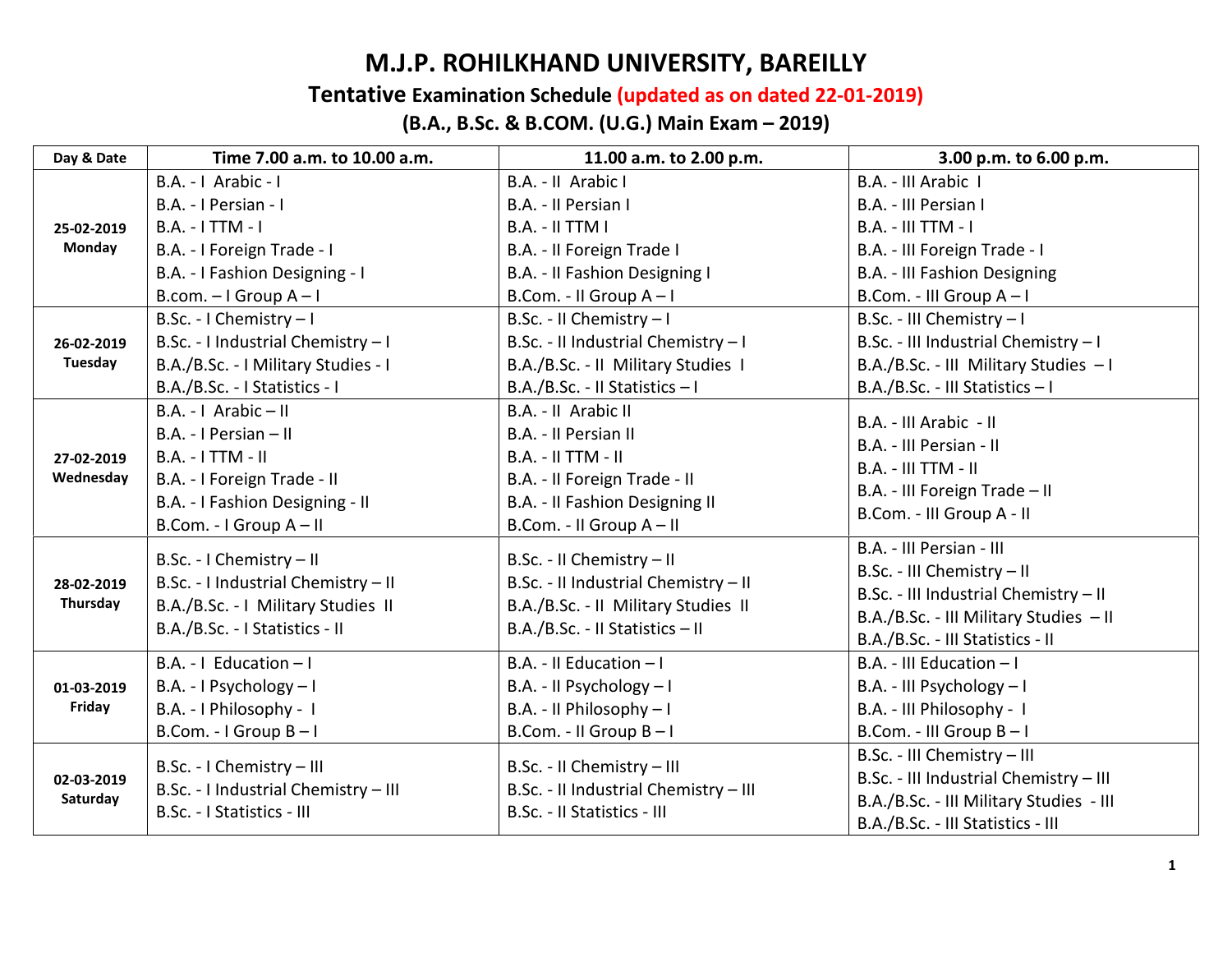## M.J.P. ROHILKHAND UNIVERSITY, BAREILLY

## Tentative Examination Schedule (updated as on dated 22-01-2019)

## (B.A., B.Sc. & B.COM. (U.G.) Main Exam – 2019)

| Day & Date              | Time 7.00 a.m. to 10.00 a.m.         | 11.00 a.m. to 2.00 p.m.                                                                                                                     | 3.00 p.m. to 6.00 p.m.                  |
|-------------------------|--------------------------------------|---------------------------------------------------------------------------------------------------------------------------------------------|-----------------------------------------|
| 25-02-2019<br>Monday    | B.A. -   Arabic -                    | B.A. - II Arabic I                                                                                                                          | B.A. - III Arabic I                     |
|                         | B.A. - I Persian - I                 | B.A. - Il Persian I                                                                                                                         | B.A. - III Persian I                    |
|                         | $B.A. - I TTM - I$                   | <b>B.A. - II TTM I</b>                                                                                                                      | <b>B.A. - III TTM - I</b>               |
|                         | B.A. - I Foreign Trade - I           | B.A. - II Foreign Trade I                                                                                                                   | B.A. - III Foreign Trade - I            |
|                         | B.A. - I Fashion Designing - I       | B.A. - Il Fashion Designing I                                                                                                               | B.A. - III Fashion Designing            |
|                         | B.com. $-1$ Group A $-1$             | B.Com. - II Group A-I                                                                                                                       | B.Com. - III Group A-I                  |
|                         | B.Sc. - I Chemistry - I              | B.Sc. - II Chemistry - I                                                                                                                    | B.Sc. - III Chemistry - I               |
| 26-02-2019              | B.Sc. - I Industrial Chemistry - I   | B.Sc. - II Industrial Chemistry - I                                                                                                         | B.Sc. - III Industrial Chemistry - I    |
| Tuesday                 | B.A./B.Sc. - I Military Studies - I  | B.A./B.Sc. - II Military Studies I                                                                                                          | B.A./B.Sc. - III Military Studies - I   |
|                         | B.A./B.Sc. - I Statistics - I        | B.A./B.Sc. - II Statistics - I                                                                                                              | B.A./B.Sc. - III Statistics - I         |
| 27-02-2019<br>Wednesday | B.A. - I Arabic - II                 | B.A. - II Arabic II                                                                                                                         | B.A. - III Arabic - II                  |
|                         | B.A. - I Persian - II                | B.A. - Il Persian II<br>$B.A. - II TTM - II$<br>B.A. - II Foreign Trade - II<br>B.A. - Il Fashion Designing II                              | B.A. - III Persian - II                 |
|                         | $B.A. - I TTM - II$                  |                                                                                                                                             | <b>B.A. - III TTM - II</b>              |
|                         | B.A. - I Foreign Trade - II          |                                                                                                                                             | B.A. - III Foreign Trade - II           |
|                         | B.A. - I Fashion Designing - II      |                                                                                                                                             | B.Com. - III Group A - II               |
|                         | B.Com. - I Group A - II              | B.Com. - II Group A - II                                                                                                                    |                                         |
|                         | B.Sc. - I Chemistry - II             | B.Sc. - II Chemistry - II<br>B.Sc. - II Industrial Chemistry - II<br>B.A./B.Sc. - II Military Studies II<br>B.A./B.Sc. - II Statistics - II | B.A. - III Persian - III                |
| 28-02-2019              | B.Sc. - I Industrial Chemistry - II  |                                                                                                                                             | B.Sc. - III Chemistry - II              |
| Thursday                | B.A./B.Sc. - I Military Studies II   |                                                                                                                                             | B.Sc. - III Industrial Chemistry - II   |
|                         | B.A./B.Sc. - I Statistics - II       |                                                                                                                                             | B.A./B.Sc. - III Military Studies - II  |
|                         |                                      |                                                                                                                                             | B.A./B.Sc. - III Statistics - II        |
|                         | B.A. - $I$ Education $-I$            | B.A. - II Education $-1$                                                                                                                    | $B.A. - III$ Education $-1$             |
| 01-03-2019<br>Friday    | B.A. - I Psychology - I              | B.A. - II Psychology - I                                                                                                                    | B.A. - III Psychology - I               |
|                         | B.A. - I Philosophy - I              | B.A. - II Philosophy - I                                                                                                                    | B.A. - III Philosophy - I               |
|                         | B.Com. - I Group B-I                 | B.Com. - II Group B-I                                                                                                                       | B.Com. - III Group B-I                  |
| 02-03-2019<br>Saturday  | B.Sc. - I Chemistry - III            | B.Sc. - II Chemistry - III                                                                                                                  | B.Sc. - III Chemistry - III             |
|                         | B.Sc. - I Industrial Chemistry - III | B.Sc. - II Industrial Chemistry - III<br>B.Sc. - II Statistics - III                                                                        | B.Sc. - III Industrial Chemistry - III  |
|                         | B.Sc. - I Statistics - III           |                                                                                                                                             | B.A./B.Sc. - III Military Studies - III |
|                         |                                      |                                                                                                                                             | B.A./B.Sc. - III Statistics - III       |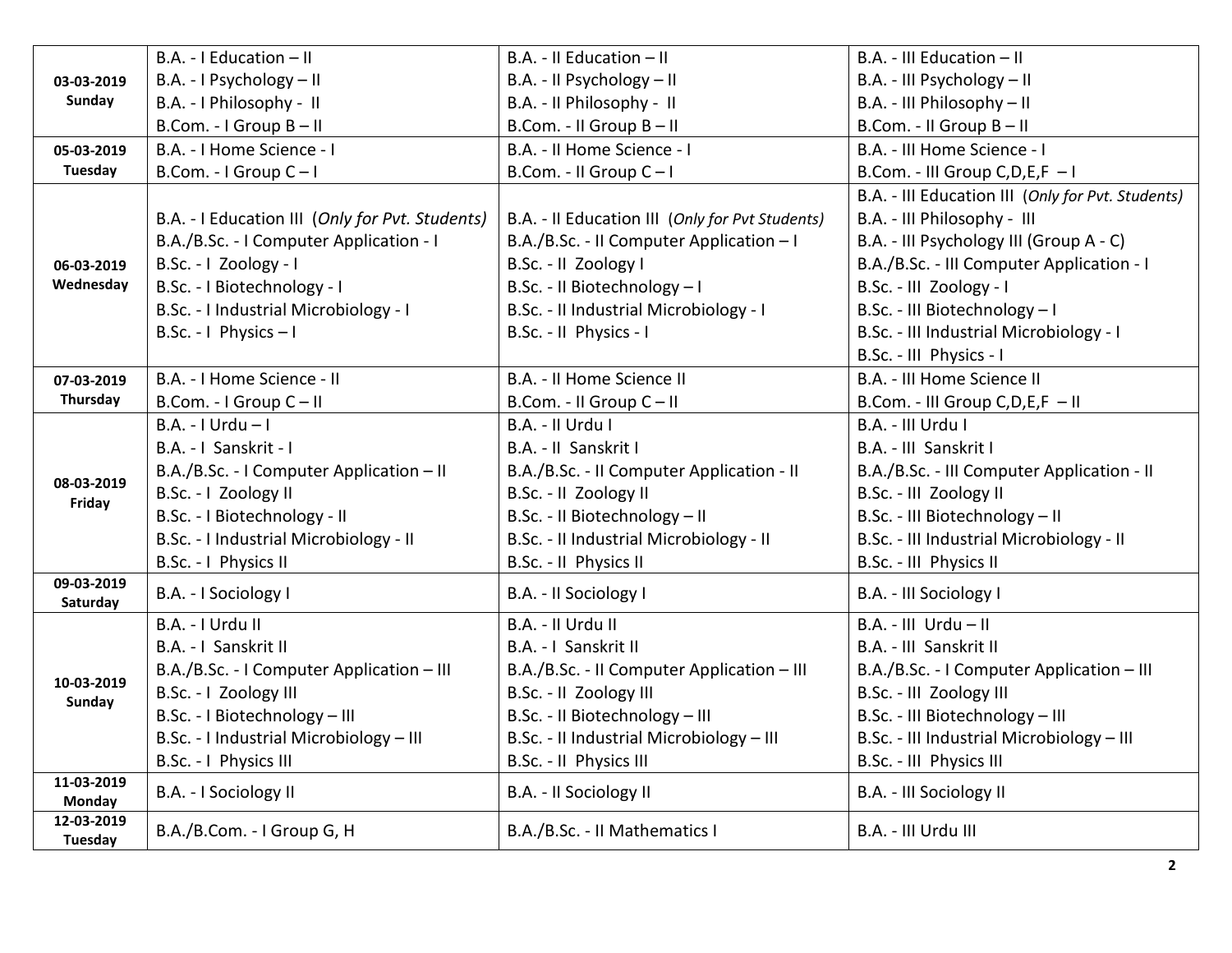|                              | B.A. - I Education - II                         | B.A. - II Education - II                        | B.A. - III Education - II                         |
|------------------------------|-------------------------------------------------|-------------------------------------------------|---------------------------------------------------|
| 03-03-2019                   | B.A. - I Psychology - II                        | B.A. - II Psychology - II                       | B.A. - III Psychology - II                        |
| Sunday                       | B.A. - I Philosophy - II                        | B.A. - II Philosophy - II                       | B.A. - III Philosophy - II                        |
|                              | B.Com. - I Group B - II                         | B.Com. - II Group B - II                        | B.Com. - II Group B - II                          |
| 05-03-2019                   | B.A. - I Home Science - I                       | B.A. - II Home Science - I                      | B.A. - III Home Science - I                       |
| Tuesday                      | B.Com. - I Group C-I                            | B.Com. - II Group C-I                           | B.Com. - III Group C, D, E, F - I                 |
|                              |                                                 |                                                 | B.A. - III Education III (Only for Pvt. Students) |
|                              | B.A. - I Education III (Only for Pvt. Students) | B.A. - Il Education III (Only for Pvt Students) | B.A. - III Philosophy - III                       |
|                              | B.A./B.Sc. - I Computer Application - I         | B.A./B.Sc. - II Computer Application - I        | B.A. - III Psychology III (Group A - C)           |
| 06-03-2019                   | B.Sc. - I Zoology - I                           | B.Sc. - II Zoology I                            | B.A./B.Sc. - III Computer Application - I         |
| Wednesday                    | B.Sc. - I Biotechnology - I                     | B.Sc. - II Biotechnology - I                    | B.Sc. - III Zoology - I                           |
|                              | B.Sc. - I Industrial Microbiology - I           | B.Sc. - II Industrial Microbiology - I          | B.Sc. - III Biotechnology - I                     |
|                              | B.Sc. - I Physics - I                           | B.Sc. - II Physics - I                          | B.Sc. - III Industrial Microbiology - I           |
|                              |                                                 |                                                 | B.Sc. - III Physics - I                           |
| 07-03-2019                   | B.A. - I Home Science - II                      | B.A. - II Home Science II                       | B.A. - III Home Science II                        |
| Thursday                     | B.Com. - I Group C - II                         | B.Com. - II Group C-II                          | B.Com. - III Group C, D, E, F - II                |
|                              | $B.A. - I Urdu - I$                             | B.A. - II Urdu I                                | B.A. - III Urdu I                                 |
|                              | B.A. - I Sanskrit - I                           | B.A. - II Sanskrit I                            | B.A. - III Sanskrit I                             |
| 08-03-2019                   | B.A./B.Sc. - I Computer Application - II        | B.A./B.Sc. - II Computer Application - II       | B.A./B.Sc. - III Computer Application - II        |
| Friday                       | B.Sc. - I Zoology II                            | B.Sc. - II Zoology II                           | B.Sc. - III Zoology II                            |
|                              | B.Sc. - I Biotechnology - II                    | B.Sc. - II Biotechnology - II                   | B.Sc. - III Biotechnology - II                    |
|                              | B.Sc. - I Industrial Microbiology - II          | B.Sc. - II Industrial Microbiology - II         | B.Sc. - III Industrial Microbiology - II          |
|                              | B.Sc. - I Physics II                            | B.Sc. - II Physics II                           | B.Sc. - III Physics II                            |
| 09-03-2019<br>Saturday       | B.A. - I Sociology I                            | B.A. - II Sociology I                           | B.A. - III Sociology I                            |
|                              | B.A. - I Urdu II                                | B.A. - II Urdu II                               | $B.A. - III$ Urdu - II                            |
|                              | B.A. - I Sanskrit II                            | B.A. - I Sanskrit II                            | B.A. - III Sanskrit II                            |
|                              | B.A./B.Sc. - I Computer Application - III       | B.A./B.Sc. - II Computer Application - III      | B.A./B.Sc. - I Computer Application - III         |
| 10-03-2019                   | B.Sc. - I Zoology III                           | B.Sc. - II Zoology III                          | B.Sc. - III Zoology III                           |
| Sunday                       | B.Sc. - I Biotechnology - III                   | B.Sc. - II Biotechnology - III                  | B.Sc. - III Biotechnology - III                   |
|                              | B.Sc. - I Industrial Microbiology - III         | B.Sc. - II Industrial Microbiology - III        | B.Sc. - III Industrial Microbiology - III         |
|                              | B.Sc. - I Physics III                           | B.Sc. - II Physics III                          | B.Sc. - III Physics III                           |
| 11-03-2019                   | B.A. - I Sociology II                           | B.A. - II Sociology II                          | B.A. - III Sociology II                           |
| Monday                       |                                                 |                                                 |                                                   |
| 12-03-2019<br><b>Tuesday</b> | B.A./B.Com. - I Group G, H                      | B.A./B.Sc. - II Mathematics I                   | B.A. - III Urdu III                               |
|                              |                                                 |                                                 |                                                   |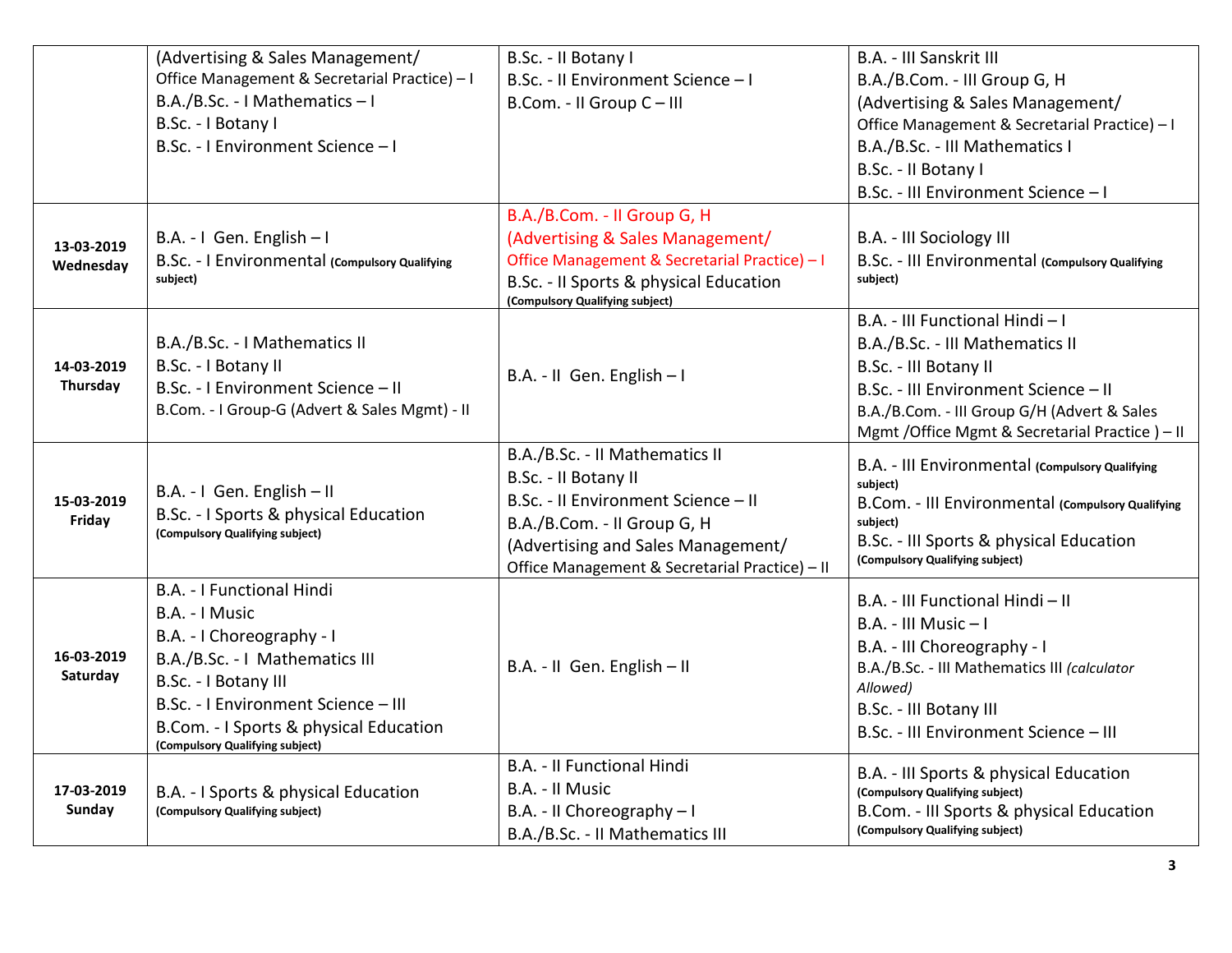|            | (Advertising & Sales Management/               | B.Sc. - II Botany I                                           | B.A. - III Sanskrit III                                                     |
|------------|------------------------------------------------|---------------------------------------------------------------|-----------------------------------------------------------------------------|
|            | Office Management & Secretarial Practice) - I  | B.Sc. - II Environment Science - I                            | B.A./B.Com. - III Group G, H                                                |
|            | B.A./B.Sc. - I Mathematics - I                 | B.Com. - II Group C - III                                     | (Advertising & Sales Management/                                            |
|            | B.Sc. - I Botany I                             |                                                               | Office Management & Secretarial Practice) - I                               |
|            | B.Sc. - I Environment Science - I              |                                                               | B.A./B.Sc. - III Mathematics I                                              |
|            |                                                |                                                               | B.Sc. - Il Botany I                                                         |
|            |                                                |                                                               | B.Sc. - III Environment Science - I                                         |
|            |                                                | B.A./B.Com. - II Group G, H                                   |                                                                             |
| 13-03-2019 | B.A. - I Gen. English - I                      | (Advertising & Sales Management/                              | B.A. - III Sociology III                                                    |
| Wednesday  | B.Sc. - I Environmental (compulsory Qualifying | Office Management & Secretarial Practice) - I                 | B.Sc. - III Environmental (compulsory Qualifying                            |
|            | subject)                                       | B.Sc. - Il Sports & physical Education                        | subject)                                                                    |
|            |                                                | (Compulsory Qualifying subject)                               |                                                                             |
|            |                                                |                                                               | B.A. - III Functional Hindi - I                                             |
|            | B.A./B.Sc. - I Mathematics II                  |                                                               | B.A./B.Sc. - III Mathematics II                                             |
| 14-03-2019 | B.Sc. - I Botany II                            | B.A. - II Gen. English - I                                    | B.Sc. - III Botany II                                                       |
| Thursday   | B.Sc. - I Environment Science - II             |                                                               | B.Sc. - III Environment Science - II                                        |
|            | B.Com. - I Group-G (Advert & Sales Mgmt) - II  |                                                               | B.A./B.Com. - III Group G/H (Advert & Sales                                 |
|            |                                                |                                                               | Mgmt / Office Mgmt & Secretarial Practice ) - II                            |
|            |                                                | B.A./B.Sc. - II Mathematics II                                |                                                                             |
|            |                                                |                                                               |                                                                             |
|            |                                                | B.Sc. - Il Botany II                                          | B.A. - III Environmental (Compulsory Qualifying<br>subject)                 |
| 15-03-2019 | B.A. - I Gen. English - II                     | B.Sc. - II Environment Science - II                           | B.Com. - III Environmental (Compulsory Qualifying                           |
| Friday     | B.Sc. - I Sports & physical Education          | B.A./B.Com. - II Group G, H                                   | subiect)                                                                    |
|            | (Compulsory Qualifying subject)                | (Advertising and Sales Management/                            | B.Sc. - III Sports & physical Education                                     |
|            |                                                | Office Management & Secretarial Practice) - II                | (Compulsory Qualifying subject)                                             |
|            | B.A. - I Functional Hindi                      |                                                               |                                                                             |
|            | B.A. - I Music                                 |                                                               | B.A. - III Functional Hindi - II                                            |
|            | B.A. - I Choreography - I                      |                                                               | B.A. - III Music - I                                                        |
| 16-03-2019 | B.A./B.Sc. - I Mathematics III                 |                                                               | B.A. - III Choreography - I                                                 |
| Saturday   | B.Sc. - I Botany III                           | B.A. - II Gen. English - II                                   | B.A./B.Sc. - III Mathematics III (calculator<br>Allowed)                    |
|            | B.Sc. - I Environment Science - III            |                                                               |                                                                             |
|            | B.Com. - I Sports & physical Education         |                                                               | B.Sc. - III Botany III<br>B.Sc. - III Environment Science - III             |
|            | (Compulsory Qualifying subject)                |                                                               |                                                                             |
|            |                                                | B.A. - Il Functional Hindi                                    | B.A. - III Sports & physical Education                                      |
| 17-03-2019 | B.A. - I Sports & physical Education           | B.A. - II Music                                               | (Compulsory Qualifying subject)                                             |
| Sunday     | (Compulsory Qualifying subject)                | B.A. - II Choreography - I<br>B.A./B.Sc. - II Mathematics III | B.Com. - III Sports & physical Education<br>(Compulsory Qualifying subject) |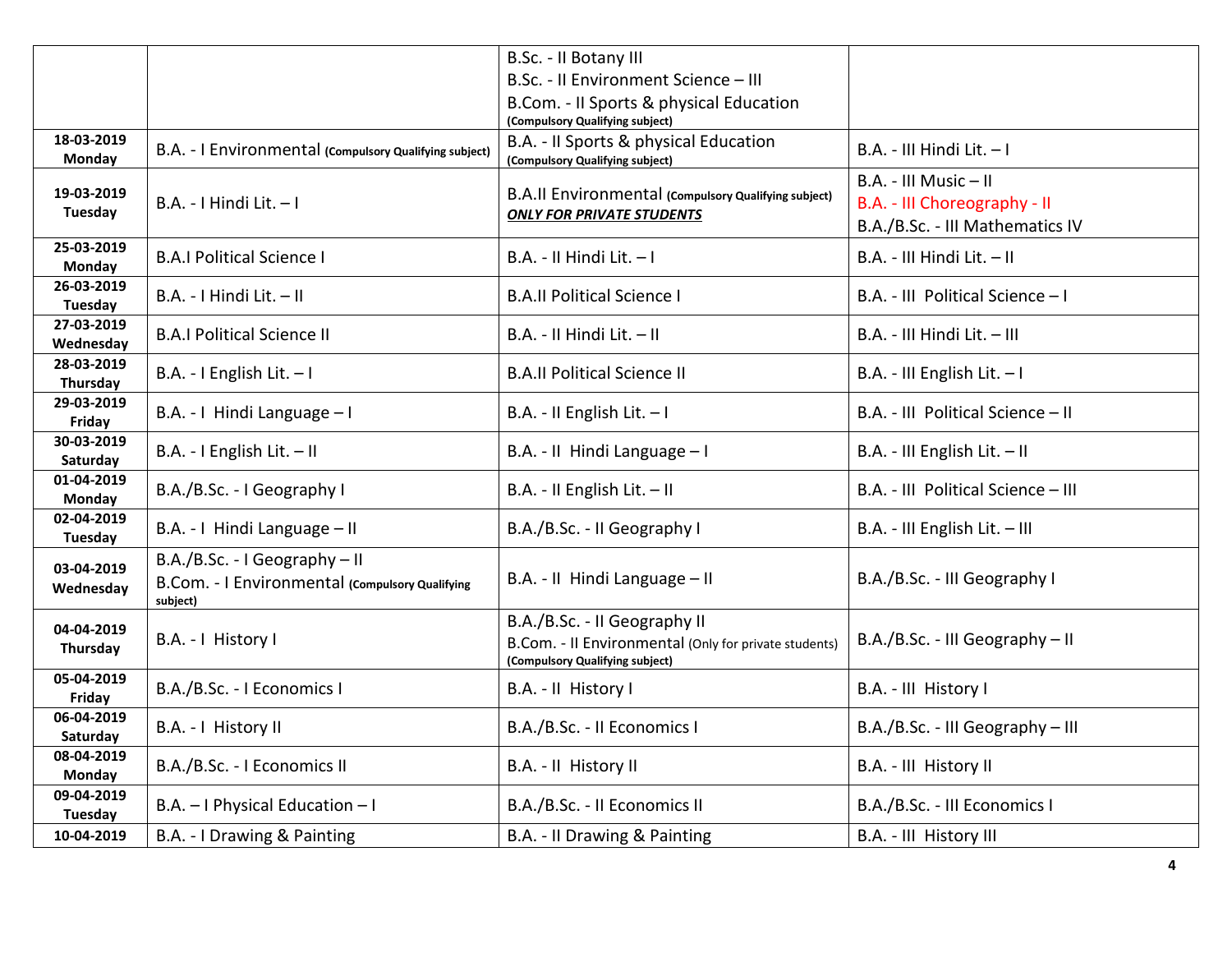|                         |                                                                                              | B.Sc. - II Botany III                                                                                                    |                                                                                          |
|-------------------------|----------------------------------------------------------------------------------------------|--------------------------------------------------------------------------------------------------------------------------|------------------------------------------------------------------------------------------|
|                         |                                                                                              | B.Sc. - II Environment Science - III                                                                                     |                                                                                          |
|                         |                                                                                              | B.Com. - Il Sports & physical Education                                                                                  |                                                                                          |
|                         |                                                                                              | (Compulsory Qualifying subject)                                                                                          |                                                                                          |
| 18-03-2019<br>Monday    | B.A. - I Environmental (Compulsory Qualifying subject)                                       | B.A. - Il Sports & physical Education<br>(Compulsory Qualifying subject)                                                 | $B.A. - III$ Hindi Lit. $- I$                                                            |
| 19-03-2019<br>Tuesday   | B.A. - I Hindi Lit. - I                                                                      | B.A.II Environmental (Compulsory Qualifying subject)<br><b>ONLY FOR PRIVATE STUDENTS</b>                                 | B.A. - III Music - II<br>B.A. - III Choreography - II<br>B.A./B.Sc. - III Mathematics IV |
| 25-03-2019<br>Monday    | <b>B.A.I Political Science I</b>                                                             | B.A. - II Hindi Lit. - I                                                                                                 | B.A. - III Hindi Lit. - II                                                               |
| 26-03-2019<br>Tuesday   | B.A. - I Hindi Lit. - II                                                                     | <b>B.A.II Political Science I</b>                                                                                        | B.A. - III Political Science - I                                                         |
| 27-03-2019<br>Wednesday | <b>B.A.I Political Science II</b>                                                            | $B.A. - II$ Hindi Lit. $- II$                                                                                            | B.A. - III Hindi Lit. - III                                                              |
| 28-03-2019<br>Thursday  | B.A. - I English Lit. $-1$                                                                   | <b>B.A.II Political Science II</b>                                                                                       | B.A. - III English Lit. - I                                                              |
| 29-03-2019<br>Friday    | B.A. - I Hindi Language - I                                                                  | B.A. - II English Lit. $-1$                                                                                              | B.A. - III Political Science - II                                                        |
| 30-03-2019<br>Saturday  | B.A. - I English Lit. - II                                                                   | B.A. - II Hindi Language - I                                                                                             | B.A. - III English Lit. - II                                                             |
| 01-04-2019<br>Monday    | B.A./B.Sc. - I Geography I                                                                   | B.A. - II English Lit. - II                                                                                              | B.A. - III Political Science - III                                                       |
| 02-04-2019<br>Tuesday   | B.A. - I Hindi Language - II                                                                 | B.A./B.Sc. - II Geography I                                                                                              | B.A. - III English Lit. - III                                                            |
| 03-04-2019<br>Wednesday | B.A./B.Sc. - I Geography - II<br>B.Com. - I Environmental (Compulsory Qualifying<br>subject) | B.A. - II Hindi Language - II                                                                                            | B.A./B.Sc. - III Geography I                                                             |
| 04-04-2019<br>Thursday  | B.A. - I History I                                                                           | B.A./B.Sc. - II Geography II<br>B.Com. - II Environmental (Only for private students)<br>(Compulsory Qualifying subject) | B.A./B.Sc. - III Geography - II                                                          |
| 05-04-2019<br>Friday    | B.A./B.Sc. - I Economics I                                                                   | B.A. - II History I                                                                                                      | B.A. - III History I                                                                     |
| 06-04-2019<br>Saturday  | B.A. - I History II                                                                          | B.A./B.Sc. - II Economics I                                                                                              | B.A./B.Sc. - III Geography - III                                                         |
| 08-04-2019<br>Monday    | B.A./B.Sc. - I Economics II                                                                  | B.A. - II History II                                                                                                     | B.A. - III History II                                                                    |
| 09-04-2019<br>Tuesday   | B.A. - I Physical Education - I                                                              | B.A./B.Sc. - II Economics II                                                                                             | B.A./B.Sc. - III Economics I                                                             |
| 10-04-2019              | B.A. - I Drawing & Painting                                                                  | B.A. - II Drawing & Painting                                                                                             | B.A. - III History III                                                                   |